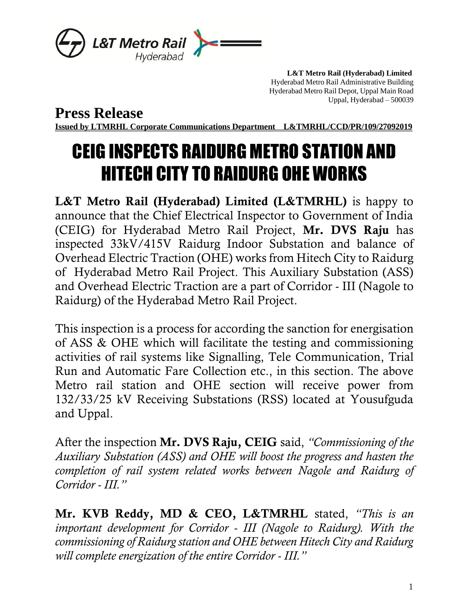

 **L&T Metro Rail (Hyderabad) Limited** Hyderabad Metro Rail Administrative Building Hyderabad Metro Rail Depot, Uppal Main Road Uppal, Hyderabad – 500039

**Press Release**

**Issued by LTMRHL Corporate Communications Department L&TMRHL/CCD/PR/109/27092019**

## CEIG INSPECTS RAIDURG METRO STATION AND HITECH CITY TO RAIDURG OHE WORKS

L&T Metro Rail (Hyderabad) Limited (L&TMRHL) is happy to announce that the Chief Electrical Inspector to Government of India (CEIG) for Hyderabad Metro Rail Project, Mr. DVS Raju has inspected 33kV/415V Raidurg Indoor Substation and balance of Overhead Electric Traction (OHE) works from Hitech City to Raidurg of Hyderabad Metro Rail Project. This Auxiliary Substation (ASS) and Overhead Electric Traction are a part of Corridor - III (Nagole to Raidurg) of the Hyderabad Metro Rail Project.

This inspection is a process for according the sanction for energisation of ASS & OHE which will facilitate the testing and commissioning activities of rail systems like Signalling, Tele Communication, Trial Run and Automatic Fare Collection etc., in this section. The above Metro rail station and OHE section will receive power from 132/33/25 kV Receiving Substations (RSS) located at Yousufguda and Uppal.

After the inspection Mr. DVS Raju, CEIG said, *"Commissioning of the Auxiliary Substation (ASS) and OHE will boost the progress and hasten the completion of rail system related works between Nagole and Raidurg of Corridor - III."*

Mr. KVB Reddy, MD & CEO, L&TMRHL stated, *"This is an important development for Corridor - III (Nagole to Raidurg). With the commissioning of Raidurg station and OHE between Hitech City and Raidurg will complete energization of the entire Corridor - III."*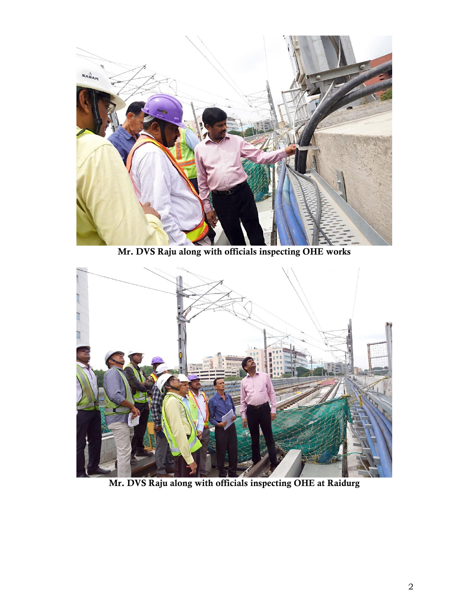

Mr. DVS Raju along with officials inspecting OHE works



Mr. DVS Raju along with officials inspecting OHE at Raidurg